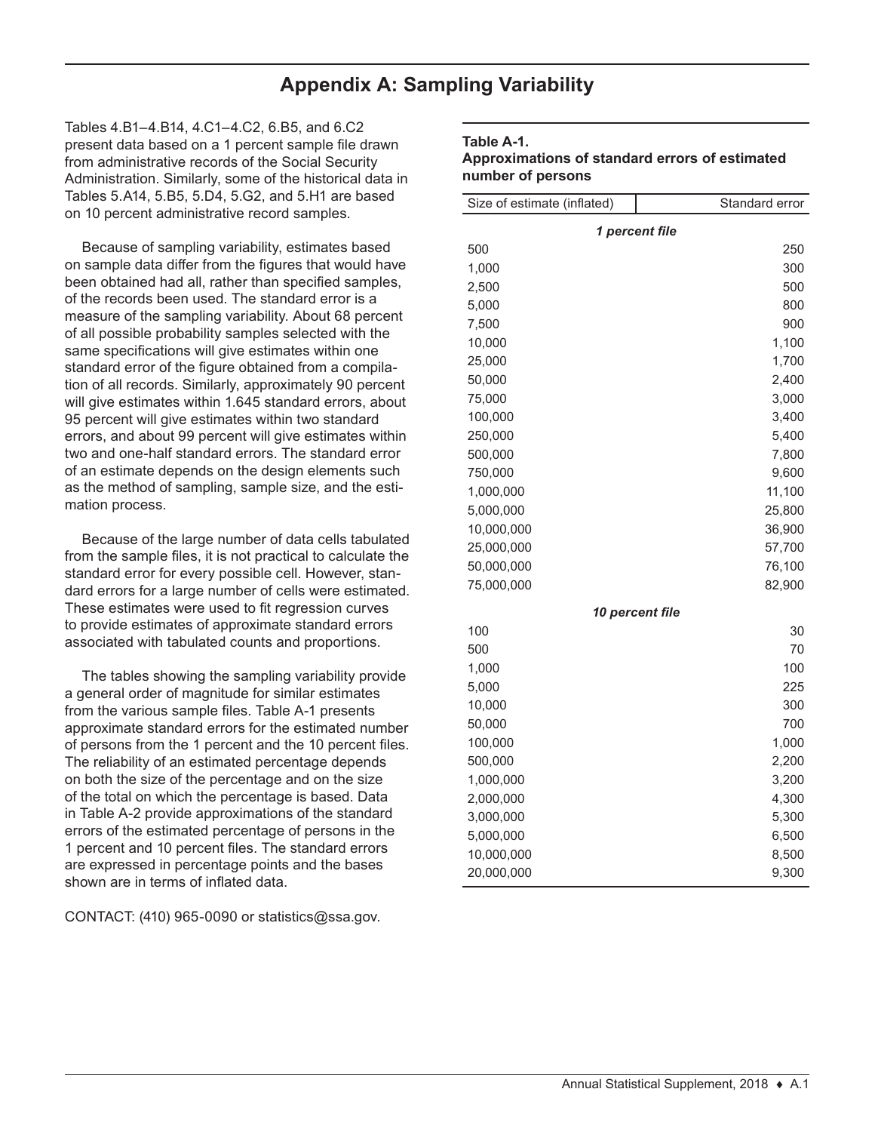## **Appendix A: Sampling Variability**

Tables 4.B1–4.B14, 4.C1–4.C2, 6.B5, and 6.C2 present data based on a 1 percent sample file drawn from administrative records of the Social Security Administration. Similarly, some of the historical data in Tables 5.A14, 5.B5, 5.D4, 5.G2, and 5.H1 are based on 10 percent administrative record samples.

Because of sampling variability, estimates based on sample data differ from the figures that would have been obtained had all, rather than specified samples, of the records been used. The standard error is a measure of the sampling variability. About 68 percent of all possible probability samples selected with the same specifications will give estimates within one standard error of the figure obtained from a compilation of all records. Similarly, approximately 90 percent will give estimates within 1.645 standard errors, about 95 percent will give estimates within two standard errors, and about 99 percent will give estimates within two and one-half standard errors. The standard error of an estimate depends on the design elements such as the method of sampling, sample size, and the estimation process.

Because of the large number of data cells tabulated from the sample files, it is not practical to calculate the standard error for every possible cell. However, standard errors for a large number of cells were estimated. These estimates were used to fit regression curves to provide estimates of approximate standard errors associated with tabulated counts and proportions.

The tables showing the sampling variability provide a general order of magnitude for similar estimates from the various sample files. Table A-1 presents approximate standard errors for the estimated number of persons from the 1 percent and the 10 percent files. The reliability of an estimated percentage depends on both the size of the percentage and on the size of the total on which the percentage is based. Data in Table A-2 provide approximations of the standard errors of the estimated percentage of persons in the 1 percent and 10 percent files. The standard errors are expressed in percentage points and the bases shown are in terms of inflated data.

CONTACT:  $(410)$  965-0090 or statistics@ssa.gov.

## **Table A-1.**

## **Approximations of standard errors of estimated number of persons**

| Size of estimate (inflated) | Standard error                |  |  |  |  |  |
|-----------------------------|-------------------------------|--|--|--|--|--|
| 1 percent file              |                               |  |  |  |  |  |
| 500                         | 250                           |  |  |  |  |  |
| 1,000                       | 300                           |  |  |  |  |  |
| 2,500                       | 500                           |  |  |  |  |  |
| 5,000                       | 800                           |  |  |  |  |  |
| 7,500                       | 900                           |  |  |  |  |  |
| 10,000                      | 1,100                         |  |  |  |  |  |
| 25,000                      | 1,700                         |  |  |  |  |  |
| 50,000                      | 2,400                         |  |  |  |  |  |
| 75,000                      | 3,000                         |  |  |  |  |  |
| 100,000                     | 3,400                         |  |  |  |  |  |
| 250,000                     | 5,400                         |  |  |  |  |  |
| 500,000                     | 7,800                         |  |  |  |  |  |
| 750,000                     | 9,600                         |  |  |  |  |  |
| 1,000,000                   | 11,100                        |  |  |  |  |  |
| 5,000,000                   | 25,800                        |  |  |  |  |  |
| 10,000,000                  | 36,900                        |  |  |  |  |  |
| 25,000,000                  | 57,700                        |  |  |  |  |  |
| 50,000,000                  | 76,100                        |  |  |  |  |  |
| 75,000,000                  | 82,900                        |  |  |  |  |  |
|                             | <i><b>10 percent file</b></i> |  |  |  |  |  |
| 100                         | 30                            |  |  |  |  |  |
| 500                         | 70                            |  |  |  |  |  |
| 1,000                       | 100                           |  |  |  |  |  |
| 5,000                       | 225                           |  |  |  |  |  |
| 10,000                      | 300                           |  |  |  |  |  |
| 50,000                      | 700                           |  |  |  |  |  |
| 100,000                     | 1,000                         |  |  |  |  |  |
| 500,000                     | 2,200                         |  |  |  |  |  |
| 1,000,000                   | 3,200                         |  |  |  |  |  |
| 2,000,000                   | 4,300                         |  |  |  |  |  |
| 3,000,000                   | 5,300                         |  |  |  |  |  |
| 5,000,000                   | 6,500                         |  |  |  |  |  |
| 10,000,000                  | 8,500                         |  |  |  |  |  |
| 20,000,000                  | 9,300                         |  |  |  |  |  |